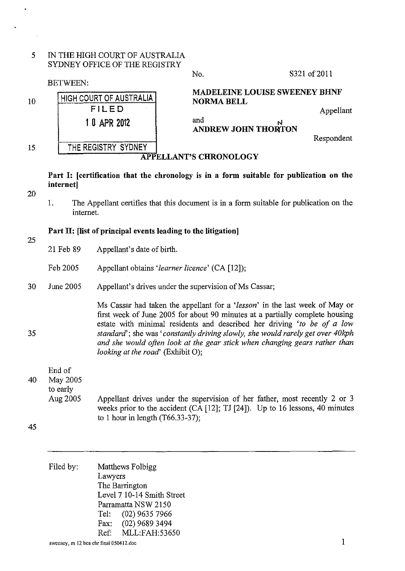## 5 IN THE HIGH COURT OF AUSTRALIA SYDNEY OFFICE OF THE REGISTRY

10 BETWEEN: HIGH COURT OF AUSTRALIA FILED 1 0 APR 2012 No. S321 of 2011 MADELEINE LOUISE SWEENEY BHNF NORMA BELL Appellant and N ANDREW JOHN THONTON Respondent 15 **THE REGISTRY SYDNEY** APPELLANT'S CHRONOLOGY

Part 1: [certification that the chronology is in a form suitable for publication on the internet]

- 20
- 1. The Appellant certifies that this document is in a form suitable for publication on the internet.

## Part II: [list of principal events leading to the litigation]

25

35

- 21 Feb 89 Appellant's date of birth.
- Feb 2005 Appellant obtains *'learner licence'* (CA [12]);
- 30 June 2005 Appellant's drives under the supervision of Ms Cassar;

Ms Cassar had taken the appellant for a *'lesson'* in the last week of May or first week of June 2005 for about 90 minutes at a partially complete housing estate with minimal residents and described her driving *'to be of a low standard';* she was *'constantly driving slowly, she would rarely get over 40kph and she would often look at the gear stick when changing gears rather than looking at the road'* (Exhibit O);

End of 40 May 2005 to early

Aug 2005 Appellant drives under the supervision of her father, most recently 2 or 3 weeks prior to the accident (CA [12]; TJ [24]). Up to 16 lessons, 40 minutes to 1 hour in length (T66.33-37);

| Filed by: |         | Matthews Folbigg           |
|-----------|---------|----------------------------|
|           | Lawyers |                            |
|           |         | The Barrington             |
|           |         | Level 7 10-14 Smith Street |
|           |         | Parramatta NSW 2150        |
|           | Tel:    | $(02)$ 9635 7966           |
|           | Fax:    | (02) 9689 3494             |
|           | $Ref+$  | MLL:FAH:53650              |
|           |         |                            |

<sup>45</sup>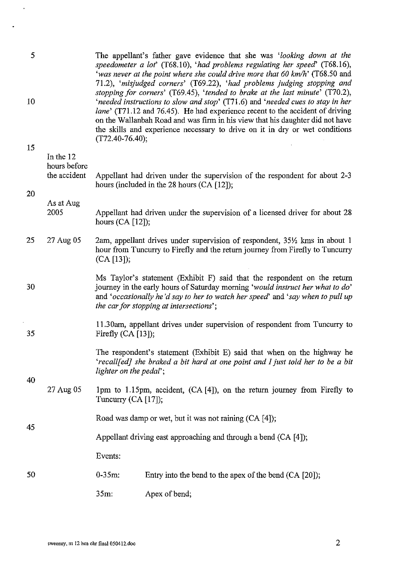| 5  |                           |                                                                       | The appellant's father gave evidence that she was 'looking down at the<br>speedometer a lot' (T68.10), 'had problems regulating her speed' (T68.16),<br>'was never at the point where she could drive more that 60 km/h' (T68.50 and<br>71.2), 'misjudged corners' (T69.22), 'had problems judging stopping and                                                                                                  |
|----|---------------------------|-----------------------------------------------------------------------|------------------------------------------------------------------------------------------------------------------------------------------------------------------------------------------------------------------------------------------------------------------------------------------------------------------------------------------------------------------------------------------------------------------|
| 10 |                           | $(T72.40-76.40);$                                                     | stopping for corners' (T69.45), 'tended to brake at the last minute' (T70.2),<br>'needed instructions to slow and stop' (T71.6) and 'needed cues to stay in her<br>lane' (T71.12 and 76.45). He had experience recent to the accident of driving<br>on the Wallanbah Road and was firm in his view that his daughter did not have<br>the skills and experience necessary to drive on it in dry or wet conditions |
| 15 |                           |                                                                       |                                                                                                                                                                                                                                                                                                                                                                                                                  |
|    | In the 12<br>hours before |                                                                       |                                                                                                                                                                                                                                                                                                                                                                                                                  |
| 20 | the accident              |                                                                       | Appellant had driven under the supervision of the respondent for about 2-3<br>hours (included in the 28 hours $(CA [12])$ ;                                                                                                                                                                                                                                                                                      |
|    | As at Aug                 |                                                                       |                                                                                                                                                                                                                                                                                                                                                                                                                  |
|    | 2005                      | hours $(CA [12])$ ;                                                   | Appellant had driven under the supervision of a licensed driver for about 28                                                                                                                                                                                                                                                                                                                                     |
| 25 | 27 Aug 05                 | $(CA [13])$ ;                                                         | 2am, appellant drives under supervision of respondent, 35 <sup>1/2</sup> kms in about 1<br>hour from Tuncurry to Firefly and the return journey from Firefly to Tuncurry                                                                                                                                                                                                                                         |
| 30 |                           |                                                                       | Ms Taylor's statement (Exhibit F) said that the respondent on the return<br>journey in the early hours of Saturday morning 'would instruct her what to do'<br>and 'occasionally he'd say to her to watch her speed' and 'say when to pull up<br>the car for stopping at intersections';                                                                                                                          |
| 35 |                           | Firefly $(CA [13])$ ;                                                 | 11.30am, appellant drives under supervision of respondent from Tuncurry to                                                                                                                                                                                                                                                                                                                                       |
|    |                           | lighter on the pedal';                                                | The respondent's statement (Exhibit E) said that when on the highway he<br>'recallfed] she braked a bit hard at one point and I just told her to be a bit                                                                                                                                                                                                                                                        |
| 40 | 27 Aug 05                 | Tuncurry (CA $[17]$ );                                                | 1pm to 1.15pm, accident, $(CA[4])$ , on the return journey from Firefly to                                                                                                                                                                                                                                                                                                                                       |
| 45 |                           |                                                                       | Road was damp or wet, but it was not raining $(CA \, [4])$ ;                                                                                                                                                                                                                                                                                                                                                     |
|    |                           | Appellant driving east approaching and through a bend $(CA \mid 4)$ ; |                                                                                                                                                                                                                                                                                                                                                                                                                  |
|    |                           | Events:                                                               |                                                                                                                                                                                                                                                                                                                                                                                                                  |
| 50 |                           | $0 - 35m$ :                                                           | Entry into the bend to the apex of the bend (CA [20]);                                                                                                                                                                                                                                                                                                                                                           |
|    |                           | 35m:                                                                  | Apex of bend;                                                                                                                                                                                                                                                                                                                                                                                                    |

 $\mathcal{A}$ 

 $\ddot{\phantom{a}}$ 

 $\mathcal{A}$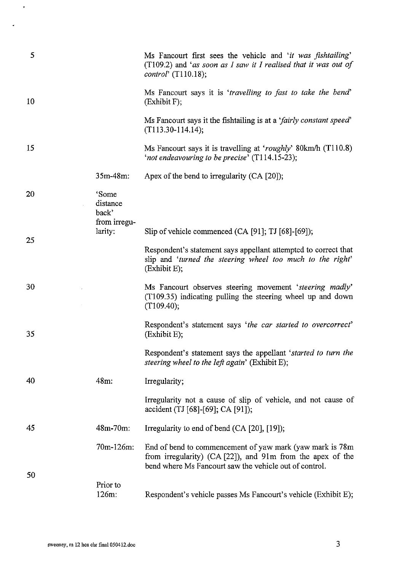| 5  |                                            | Ms Fancourt first sees the vehicle and 'it was fishtailing'<br>$(T109.2)$ and 'as soon as I saw it I realised that it was out of<br>control' $(T110.18)$ ;                        |
|----|--------------------------------------------|-----------------------------------------------------------------------------------------------------------------------------------------------------------------------------------|
| 10 |                                            | Ms Fancourt says it is 'travelling to fast to take the bend'<br>(Exhibit F);                                                                                                      |
|    |                                            | Ms Fancourt says it the fishtailing is at a 'fairly constant speed'<br>$(T113.30-114.14);$                                                                                        |
| 15 |                                            | Ms Fancourt says it is travelling at 'roughly' 80km/h (T110.8)<br>'not endeavouring to be precise' (T114.15-23);                                                                  |
|    | 35m-48m:                                   | Apex of the bend to irregularity $(CA [20])$ ;                                                                                                                                    |
| 20 | 'Some<br>distance<br>back'<br>from irregu- |                                                                                                                                                                                   |
| 25 | larity:                                    | Slip of vehicle commenced (CA [91]; TJ [68]-[69]);                                                                                                                                |
|    |                                            | Respondent's statement says appellant attempted to correct that<br>slip and 'turned the steering wheel too much to the right'<br>(Exhibit E);                                     |
| 30 |                                            | Ms Fancourt observes steering movement 'steering madly'<br>(T109.35) indicating pulling the steering wheel up and down<br>(T109.40);                                              |
| 35 |                                            | Respondent's statement says 'the car started to overcorrect'<br>(Exhibit E);                                                                                                      |
|    |                                            | Respondent's statement says the appellant 'started to turn the<br>steering wheel to the left again' (Exhibit E);                                                                  |
| 40 | 48m:                                       | Irregularity;                                                                                                                                                                     |
|    |                                            | Irregularity not a cause of slip of vehicle, and not cause of<br>accident (TJ [68]-[69]; CA [91]);                                                                                |
| 45 | $48m - 70m$ :                              | Irregularity to end of bend (CA [20], [19]);                                                                                                                                      |
|    | 70m-126m:                                  | End of bend to commencement of yaw mark (yaw mark is 78m)<br>from irregularity) (CA [22]), and 91m from the apex of the<br>bend where Ms Fancourt saw the vehicle out of control. |
| 50 | Prior to<br>126m:                          | Respondent's vehicle passes Ms Fancourt's vehicle (Exhibit E);                                                                                                                    |

 $\langle \rangle$ 

 $\mathcal{L}_{\text{eff}}$